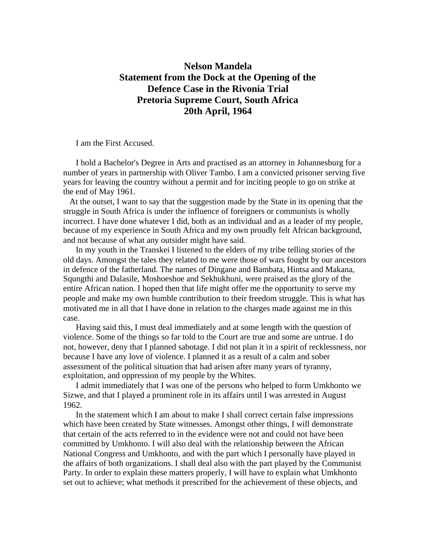## **Nelson Mandela Statement from the Dock at the Opening of the Defence Case in the Rivonia Trial Pretoria Supreme Court, South Africa 20th April, 1964**

I am the First Accused.

 I hold a Bachelor's Degree in Arts and practised as an attorney in Johannesburg for a number of years in partnership with Oliver Tambo. I am a convicted prisoner serving five years for leaving the country without a permit and for inciting people to go on strike at the end of May 1961.

At the outset, I want to say that the suggestion made by the State in its opening that the struggle in South Africa is under the influence of foreigners or communists is wholly incorrect. I have done whatever I did, both as an individual and as a leader of my people, because of my experience in South Africa and my own proudly felt African background, and not because of what any outsider might have said.

 In my youth in the Transkei I listened to the elders of my tribe telling stories of the old days. Amongst the tales they related to me were those of wars fought by our ancestors in defence of the fatherland. The names of Dingane and Bambata, Hintsa and Makana, Squngthi and Dalasile, Moshoeshoe and Sekhukhuni, were praised as the glory of the entire African nation. I hoped then that life might offer me the opportunity to serve my people and make my own humble contribution to their freedom struggle. This is what has motivated me in all that I have done in relation to the charges made against me in this case.

 Having said this, I must deal immediately and at some length with the question of violence. Some of the things so far told to the Court are true and some are untrue. I do not, however, deny that I planned sabotage. I did not plan it in a spirit of recklessness, nor because I have any love of violence. I planned it as a result of a calm and sober assessment of the political situation that had arisen after many years of tyranny, exploitation, and oppression of my people by the Whites.

 I admit immediately that I was one of the persons who helped to form Umkhonto we Sizwe, and that I played a prominent role in its affairs until I was arrested in August 1962.

 In the statement which I am about to make I shall correct certain false impressions which have been created by State witnesses. Amongst other things, I will demonstrate that certain of the acts referred to in the evidence were not and could not have been committed by Umkhonto. I will also deal with the relationship between the African National Congress and Umkhonto, and with the part which I personally have played in the affairs of both organizations. I shall deal also with the part played by the Communist Party. In order to explain these matters properly, I will have to explain what Umkhonto set out to achieve; what methods it prescribed for the achievement of these objects, and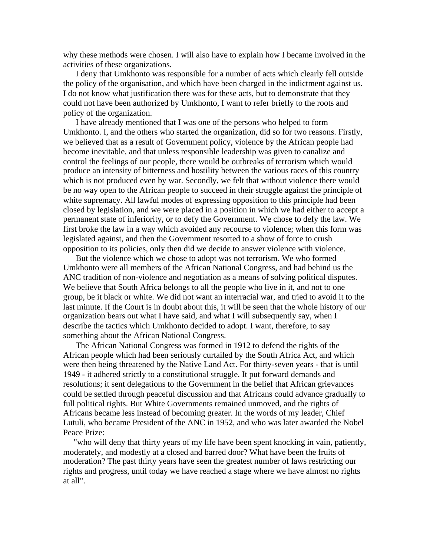why these methods were chosen. I will also have to explain how I became involved in the activities of these organizations.

 I deny that Umkhonto was responsible for a number of acts which clearly fell outside the policy of the organisation, and which have been charged in the indictment against us. I do not know what justification there was for these acts, but to demonstrate that they could not have been authorized by Umkhonto, I want to refer briefly to the roots and policy of the organization.

 I have already mentioned that I was one of the persons who helped to form Umkhonto. I, and the others who started the organization, did so for two reasons. Firstly, we believed that as a result of Government policy, violence by the African people had become inevitable, and that unless responsible leadership was given to canalize and control the feelings of our people, there would be outbreaks of terrorism which would produce an intensity of bitterness and hostility between the various races of this country which is not produced even by war. Secondly, we felt that without violence there would be no way open to the African people to succeed in their struggle against the principle of white supremacy. All lawful modes of expressing opposition to this principle had been closed by legislation, and we were placed in a position in which we had either to accept a permanent state of inferiority, or to defy the Government. We chose to defy the law. We first broke the law in a way which avoided any recourse to violence; when this form was legislated against, and then the Government resorted to a show of force to crush opposition to its policies, only then did we decide to answer violence with violence.

 But the violence which we chose to adopt was not terrorism. We who formed Umkhonto were all members of the African National Congress, and had behind us the ANC tradition of non-violence and negotiation as a means of solving political disputes. We believe that South Africa belongs to all the people who live in it, and not to one group, be it black or white. We did not want an interracial war, and tried to avoid it to the last minute. If the Court is in doubt about this, it will be seen that the whole history of our organization bears out what I have said, and what I will subsequently say, when I describe the tactics which Umkhonto decided to adopt. I want, therefore, to say something about the African National Congress.

 The African National Congress was formed in 1912 to defend the rights of the African people which had been seriously curtailed by the South Africa Act, and which were then being threatened by the Native Land Act. For thirty-seven years - that is until 1949 - it adhered strictly to a constitutional struggle. It put forward demands and resolutions; it sent delegations to the Government in the belief that African grievances could be settled through peaceful discussion and that Africans could advance gradually to full political rights. But White Governments remained unmoved, and the rights of Africans became less instead of becoming greater. In the words of my leader, Chief Lutuli, who became President of the ANC in 1952, and who was later awarded the Nobel Peace Prize:

 "who will deny that thirty years of my life have been spent knocking in vain, patiently, moderately, and modestly at a closed and barred door? What have been the fruits of moderation? The past thirty years have seen the greatest number of laws restricting our rights and progress, until today we have reached a stage where we have almost no rights at all".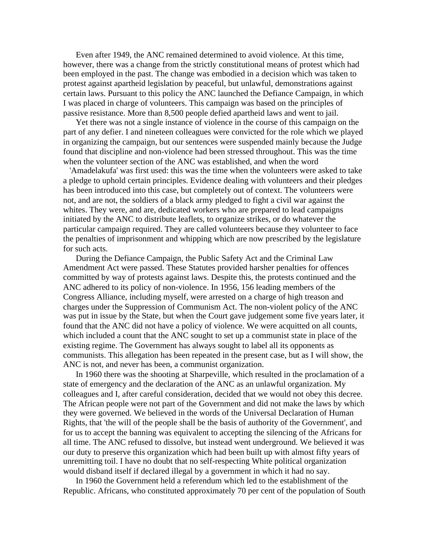Even after 1949, the ANC remained determined to avoid violence. At this time, however, there was a change from the strictly constitutional means of protest which had been employed in the past. The change was embodied in a decision which was taken to protest against apartheid legislation by peaceful, but unlawful, demonstrations against certain laws. Pursuant to this policy the ANC launched the Defiance Campaign, in which I was placed in charge of volunteers. This campaign was based on the principles of passive resistance. More than 8,500 people defied apartheid laws and went to jail.

 Yet there was not a single instance of violence in the course of this campaign on the part of any defier. I and nineteen colleagues were convicted for the role which we played in organizing the campaign, but our sentences were suspended mainly because the Judge found that discipline and non-violence had been stressed throughout. This was the time when the volunteer section of the ANC was established, and when the word

'Amadelakufa' was first used: this was the time when the volunteers were asked to take a pledge to uphold certain principles. Evidence dealing with volunteers and their pledges has been introduced into this case, but completely out of context. The volunteers were not, and are not, the soldiers of a black army pledged to fight a civil war against the whites. They were, and are, dedicated workers who are prepared to lead campaigns initiated by the ANC to distribute leaflets, to organize strikes, or do whatever the particular campaign required. They are called volunteers because they volunteer to face the penalties of imprisonment and whipping which are now prescribed by the legislature for such acts.

 During the Defiance Campaign, the Public Safety Act and the Criminal Law Amendment Act were passed. These Statutes provided harsher penalties for offences committed by way of protests against laws. Despite this, the protests continued and the ANC adhered to its policy of non-violence. In 1956, 156 leading members of the Congress Alliance, including myself, were arrested on a charge of high treason and charges under the Suppression of Communism Act. The non-violent policy of the ANC was put in issue by the State, but when the Court gave judgement some five years later, it found that the ANC did not have a policy of violence. We were acquitted on all counts, which included a count that the ANC sought to set up a communist state in place of the existing regime. The Government has always sought to label all its opponents as communists. This allegation has been repeated in the present case, but as I will show, the ANC is not, and never has been, a communist organization.

 In 1960 there was the shooting at Sharpeville, which resulted in the proclamation of a state of emergency and the declaration of the ANC as an unlawful organization. My colleagues and I, after careful consideration, decided that we would not obey this decree. The African people were not part of the Government and did not make the laws by which they were governed. We believed in the words of the Universal Declaration of Human Rights, that 'the will of the people shall be the basis of authority of the Government', and for us to accept the banning was equivalent to accepting the silencing of the Africans for all time. The ANC refused to dissolve, but instead went underground. We believed it was our duty to preserve this organization which had been built up with almost fifty years of unremitting toil. I have no doubt that no self-respecting White political organization would disband itself if declared illegal by a government in which it had no say.

 In 1960 the Government held a referendum which led to the establishment of the Republic. Africans, who constituted approximately 70 per cent of the population of South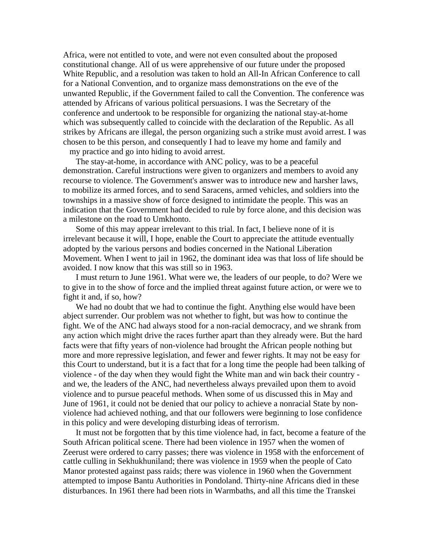Africa, were not entitled to vote, and were not even consulted about the proposed constitutional change. All of us were apprehensive of our future under the proposed White Republic, and a resolution was taken to hold an All-In African Conference to call for a National Convention, and to organize mass demonstrations on the eve of the unwanted Republic, if the Government failed to call the Convention. The conference was attended by Africans of various political persuasions. I was the Secretary of the conference and undertook to be responsible for organizing the national stay-at-home which was subsequently called to coincide with the declaration of the Republic. As all strikes by Africans are illegal, the person organizing such a strike must avoid arrest. I was chosen to be this person, and consequently I had to leave my home and family and my practice and go into hiding to avoid arrest.

 The stay-at-home, in accordance with ANC policy, was to be a peaceful demonstration. Careful instructions were given to organizers and members to avoid any recourse to violence. The Government's answer was to introduce new and harsher laws, to mobilize its armed forces, and to send Saracens, armed vehicles, and soldiers into the townships in a massive show of force designed to intimidate the people. This was an indication that the Government had decided to rule by force alone, and this decision was a milestone on the road to Umkhonto.

 Some of this may appear irrelevant to this trial. In fact, I believe none of it is irrelevant because it will, I hope, enable the Court to appreciate the attitude eventually adopted by the various persons and bodies concerned in the National Liberation Movement. When I went to jail in 1962, the dominant idea was that loss of life should be avoided. I now know that this was still so in 1963.

 I must return to June 1961. What were we, the leaders of our people, to do? Were we to give in to the show of force and the implied threat against future action, or were we to fight it and, if so, how?

 We had no doubt that we had to continue the fight. Anything else would have been abject surrender. Our problem was not whether to fight, but was how to continue the fight. We of the ANC had always stood for a non-racial democracy, and we shrank from any action which might drive the races further apart than they already were. But the hard facts were that fifty years of non-violence had brought the African people nothing but more and more repressive legislation, and fewer and fewer rights. It may not be easy for this Court to understand, but it is a fact that for a long time the people had been talking of violence - of the day when they would fight the White man and win back their country and we, the leaders of the ANC, had nevertheless always prevailed upon them to avoid violence and to pursue peaceful methods. When some of us discussed this in May and June of 1961, it could not be denied that our policy to achieve a nonracial State by nonviolence had achieved nothing, and that our followers were beginning to lose confidence in this policy and were developing disturbing ideas of terrorism.

 It must not be forgotten that by this time violence had, in fact, become a feature of the South African political scene. There had been violence in 1957 when the women of Zeerust were ordered to carry passes; there was violence in 1958 with the enforcement of cattle culling in Sekhukhuniland; there was violence in 1959 when the people of Cato Manor protested against pass raids; there was violence in 1960 when the Government attempted to impose Bantu Authorities in Pondoland. Thirty-nine Africans died in these disturbances. In 1961 there had been riots in Warmbaths, and all this time the Transkei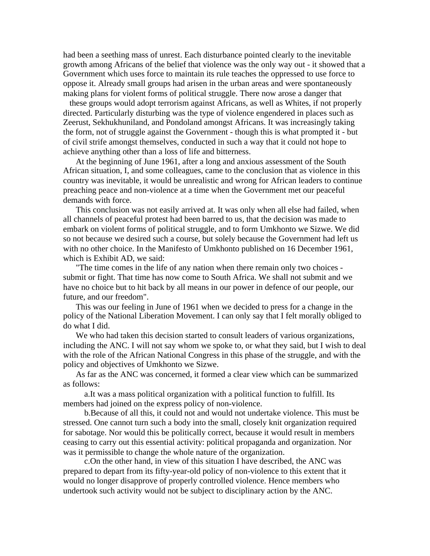had been a seething mass of unrest. Each disturbance pointed clearly to the inevitable growth among Africans of the belief that violence was the only way out - it showed that a Government which uses force to maintain its rule teaches the oppressed to use force to oppose it. Already small groups had arisen in the urban areas and were spontaneously making plans for violent forms of political struggle. There now arose a danger that

these groups would adopt terrorism against Africans, as well as Whites, if not properly directed. Particularly disturbing was the type of violence engendered in places such as Zeerust, Sekhukhuniland, and Pondoland amongst Africans. It was increasingly taking the form, not of struggle against the Government - though this is what prompted it - but of civil strife amongst themselves, conducted in such a way that it could not hope to achieve anything other than a loss of life and bitterness.

 At the beginning of June 1961, after a long and anxious assessment of the South African situation, I, and some colleagues, came to the conclusion that as violence in this country was inevitable, it would be unrealistic and wrong for African leaders to continue preaching peace and non-violence at a time when the Government met our peaceful demands with force.

 This conclusion was not easily arrived at. It was only when all else had failed, when all channels of peaceful protest had been barred to us, that the decision was made to embark on violent forms of political struggle, and to form Umkhonto we Sizwe. We did so not because we desired such a course, but solely because the Government had left us with no other choice. In the Manifesto of Umkhonto published on 16 December 1961, which is Exhibit AD, we said:

 "The time comes in the life of any nation when there remain only two choices submit or fight. That time has now come to South Africa. We shall not submit and we have no choice but to hit back by all means in our power in defence of our people, our future, and our freedom".

 This was our feeling in June of 1961 when we decided to press for a change in the policy of the National Liberation Movement. I can only say that I felt morally obliged to do what I did.

 We who had taken this decision started to consult leaders of various organizations, including the ANC. I will not say whom we spoke to, or what they said, but I wish to deal with the role of the African National Congress in this phase of the struggle, and with the policy and objectives of Umkhonto we Sizwe.

 As far as the ANC was concerned, it formed a clear view which can be summarized as follows:

 a.It was a mass political organization with a political function to fulfill. Its members had joined on the express policy of non-violence.

 b.Because of all this, it could not and would not undertake violence. This must be stressed. One cannot turn such a body into the small, closely knit organization required for sabotage. Nor would this be politically correct, because it would result in members ceasing to carry out this essential activity: political propaganda and organization. Nor was it permissible to change the whole nature of the organization.

 c.On the other hand, in view of this situation I have described, the ANC was prepared to depart from its fifty-year-old policy of non-violence to this extent that it would no longer disapprove of properly controlled violence. Hence members who undertook such activity would not be subject to disciplinary action by the ANC.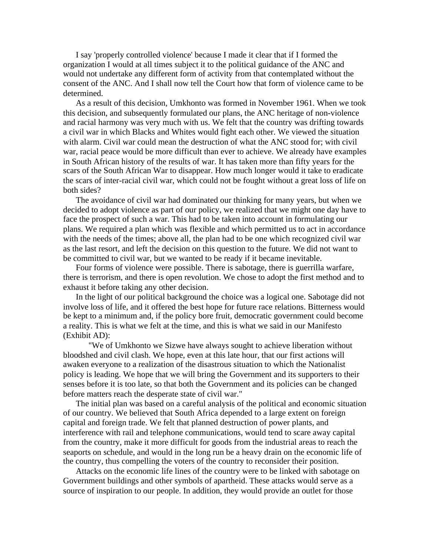I say 'properly controlled violence' because I made it clear that if I formed the organization I would at all times subject it to the political guidance of the ANC and would not undertake any different form of activity from that contemplated without the consent of the ANC. And I shall now tell the Court how that form of violence came to be determined.

 As a result of this decision, Umkhonto was formed in November 1961. When we took this decision, and subsequently formulated our plans, the ANC heritage of non-violence and racial harmony was very much with us. We felt that the country was drifting towards a civil war in which Blacks and Whites would fight each other. We viewed the situation with alarm. Civil war could mean the destruction of what the ANC stood for; with civil war, racial peace would be more difficult than ever to achieve. We already have examples in South African history of the results of war. It has taken more than fifty years for the scars of the South African War to disappear. How much longer would it take to eradicate the scars of inter-racial civil war, which could not be fought without a great loss of life on both sides?

 The avoidance of civil war had dominated our thinking for many years, but when we decided to adopt violence as part of our policy, we realized that we might one day have to face the prospect of such a war. This had to be taken into account in formulating our plans. We required a plan which was flexible and which permitted us to act in accordance with the needs of the times; above all, the plan had to be one which recognized civil war as the last resort, and left the decision on this question to the future. We did not want to be committed to civil war, but we wanted to be ready if it became inevitable.

 Four forms of violence were possible. There is sabotage, there is guerrilla warfare, there is terrorism, and there is open revolution. We chose to adopt the first method and to exhaust it before taking any other decision.

 In the light of our political background the choice was a logical one. Sabotage did not involve loss of life, and it offered the best hope for future race relations. Bitterness would be kept to a minimum and, if the policy bore fruit, democratic government could become a reality. This is what we felt at the time, and this is what we said in our Manifesto (Exhibit AD):

 "We of Umkhonto we Sizwe have always sought to achieve liberation without bloodshed and civil clash. We hope, even at this late hour, that our first actions will awaken everyone to a realization of the disastrous situation to which the Nationalist policy is leading. We hope that we will bring the Government and its supporters to their senses before it is too late, so that both the Government and its policies can be changed before matters reach the desperate state of civil war."

 The initial plan was based on a careful analysis of the political and economic situation of our country. We believed that South Africa depended to a large extent on foreign capital and foreign trade. We felt that planned destruction of power plants, and interference with rail and telephone communications, would tend to scare away capital from the country, make it more difficult for goods from the industrial areas to reach the seaports on schedule, and would in the long run be a heavy drain on the economic life of the country, thus compelling the voters of the country to reconsider their position.

 Attacks on the economic life lines of the country were to be linked with sabotage on Government buildings and other symbols of apartheid. These attacks would serve as a source of inspiration to our people. In addition, they would provide an outlet for those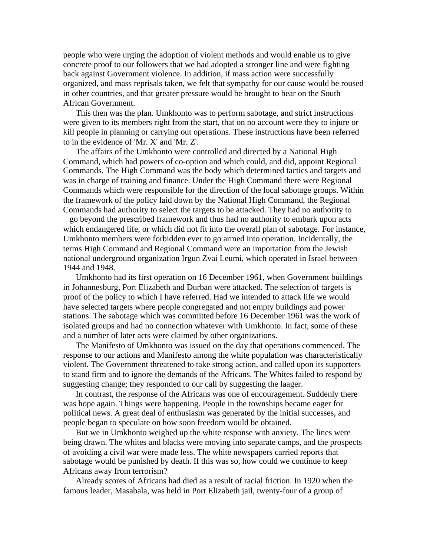people who were urging the adoption of violent methods and would enable us to give concrete proof to our followers that we had adopted a stronger line and were fighting back against Government violence. In addition, if mass action were successfully organized, and mass reprisals taken, we felt that sympathy for our cause would be roused in other countries, and that greater pressure would be brought to bear on the South African Government.

 This then was the plan. Umkhonto was to perform sabotage, and strict instructions were given to its members right from the start, that on no account were they to injure or kill people in planning or carrying out operations. These instructions have been referred to in the evidence of 'Mr. X' and 'Mr. Z'.

 The affairs of the Umkhonto were controlled and directed by a National High Command, which had powers of co-option and which could, and did, appoint Regional Commands. The High Command was the body which determined tactics and targets and was in charge of training and finance. Under the High Command there were Regional Commands which were responsible for the direction of the local sabotage groups. Within the framework of the policy laid down by the National High Command, the Regional Commands had authority to select the targets to be attacked. They had no authority to

go beyond the prescribed framework and thus had no authority to embark upon acts which endangered life, or which did not fit into the overall plan of sabotage. For instance, Umkhonto members were forbidden ever to go armed into operation. Incidentally, the terms High Command and Regional Command were an importation from the Jewish national underground organization Irgun Zvai Leumi, which operated in Israel between 1944 and 1948.

 Umkhonto had its first operation on 16 December 1961, when Government buildings in Johannesburg, Port Elizabeth and Durban were attacked. The selection of targets is proof of the policy to which I have referred. Had we intended to attack life we would have selected targets where people congregated and not empty buildings and power stations. The sabotage which was committed before 16 December 1961 was the work of isolated groups and had no connection whatever with Umkhonto. In fact, some of these and a number of later acts were claimed by other organizations.

 The Manifesto of Umkhonto was issued on the day that operations commenced. The response to our actions and Manifesto among the white population was characteristically violent. The Government threatened to take strong action, and called upon its supporters to stand firm and to ignore the demands of the Africans. The Whites failed to respond by suggesting change; they responded to our call by suggesting the laager.

 In contrast, the response of the Africans was one of encouragement. Suddenly there was hope again. Things were happening. People in the townships became eager for political news. A great deal of enthusiasm was generated by the initial successes, and people began to speculate on how soon freedom would be obtained.

 But we in Umkhonto weighed up the white response with anxiety. The lines were being drawn. The whites and blacks were moving into separate camps, and the prospects of avoiding a civil war were made less. The white newspapers carried reports that sabotage would be punished by death. If this was so, how could we continue to keep Africans away from terrorism?

 Already scores of Africans had died as a result of racial friction. In 1920 when the famous leader, Masabala, was held in Port Elizabeth jail, twenty-four of a group of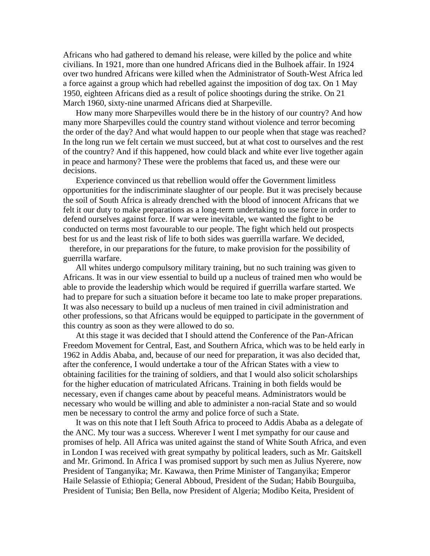Africans who had gathered to demand his release, were killed by the police and white civilians. In 1921, more than one hundred Africans died in the Bulhoek affair. In 1924 over two hundred Africans were killed when the Administrator of South-West Africa led a force against a group which had rebelled against the imposition of dog tax. On 1 May 1950, eighteen Africans died as a result of police shootings during the strike. On 21 March 1960, sixty-nine unarmed Africans died at Sharpeville.

 How many more Sharpevilles would there be in the history of our country? And how many more Sharpevilles could the country stand without violence and terror becoming the order of the day? And what would happen to our people when that stage was reached? In the long run we felt certain we must succeed, but at what cost to ourselves and the rest of the country? And if this happened, how could black and white ever live together again in peace and harmony? These were the problems that faced us, and these were our decisions.

 Experience convinced us that rebellion would offer the Government limitless opportunities for the indiscriminate slaughter of our people. But it was precisely because the soil of South Africa is already drenched with the blood of innocent Africans that we felt it our duty to make preparations as a long-term undertaking to use force in order to defend ourselves against force. If war were inevitable, we wanted the fight to be conducted on terms most favourable to our people. The fight which held out prospects best for us and the least risk of life to both sides was guerrilla warfare. We decided,

therefore, in our preparations for the future, to make provision for the possibility of guerrilla warfare.

 All whites undergo compulsory military training, but no such training was given to Africans. It was in our view essential to build up a nucleus of trained men who would be able to provide the leadership which would be required if guerrilla warfare started. We had to prepare for such a situation before it became too late to make proper preparations. It was also necessary to build up a nucleus of men trained in civil administration and other professions, so that Africans would be equipped to participate in the government of this country as soon as they were allowed to do so.

 At this stage it was decided that I should attend the Conference of the Pan-African Freedom Movement for Central, East, and Southern Africa, which was to be held early in 1962 in Addis Ababa, and, because of our need for preparation, it was also decided that, after the conference, I would undertake a tour of the African States with a view to obtaining facilities for the training of soldiers, and that I would also solicit scholarships for the higher education of matriculated Africans. Training in both fields would be necessary, even if changes came about by peaceful means. Administrators would be necessary who would be willing and able to administer a non-racial State and so would men be necessary to control the army and police force of such a State.

 It was on this note that I left South Africa to proceed to Addis Ababa as a delegate of the ANC. My tour was a success. Wherever I went I met sympathy for our cause and promises of help. All Africa was united against the stand of White South Africa, and even in London I was received with great sympathy by political leaders, such as Mr. Gaitskell and Mr. Grimond. In Africa I was promised support by such men as Julius Nyerere, now President of Tanganyika; Mr. Kawawa, then Prime Minister of Tanganyika; Emperor Haile Selassie of Ethiopia; General Abboud, President of the Sudan; Habib Bourguiba, President of Tunisia; Ben Bella, now President of Algeria; Modibo Keita, President of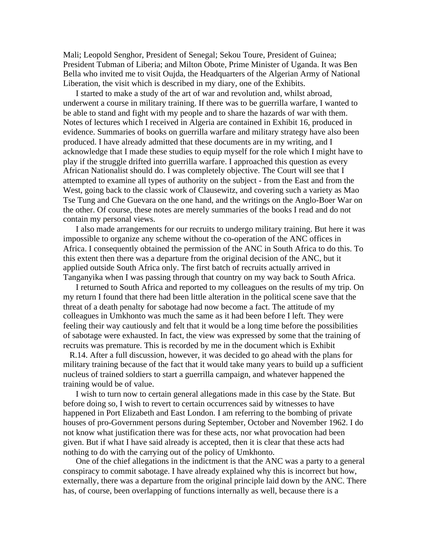Mali; Leopold Senghor, President of Senegal; Sekou Toure, President of Guinea; President Tubman of Liberia; and Milton Obote, Prime Minister of Uganda. It was Ben Bella who invited me to visit Oujda, the Headquarters of the Algerian Army of National Liberation, the visit which is described in my diary, one of the Exhibits.

 I started to make a study of the art of war and revolution and, whilst abroad, underwent a course in military training. If there was to be guerrilla warfare, I wanted to be able to stand and fight with my people and to share the hazards of war with them. Notes of lectures which I received in Algeria are contained in Exhibit 16, produced in evidence. Summaries of books on guerrilla warfare and military strategy have also been produced. I have already admitted that these documents are in my writing, and I acknowledge that I made these studies to equip myself for the role which I might have to play if the struggle drifted into guerrilla warfare. I approached this question as every African Nationalist should do. I was completely objective. The Court will see that I attempted to examine all types of authority on the subject - from the East and from the West, going back to the classic work of Clausewitz, and covering such a variety as Mao Tse Tung and Che Guevara on the one hand, and the writings on the Anglo-Boer War on the other. Of course, these notes are merely summaries of the books I read and do not contain my personal views.

 I also made arrangements for our recruits to undergo military training. But here it was impossible to organize any scheme without the co-operation of the ANC offices in Africa. I consequently obtained the permission of the ANC in South Africa to do this. To this extent then there was a departure from the original decision of the ANC, but it applied outside South Africa only. The first batch of recruits actually arrived in Tanganyika when I was passing through that country on my way back to South Africa.

 I returned to South Africa and reported to my colleagues on the results of my trip. On my return I found that there had been little alteration in the political scene save that the threat of a death penalty for sabotage had now become a fact. The attitude of my colleagues in Umkhonto was much the same as it had been before I left. They were feeling their way cautiously and felt that it would be a long time before the possibilities of sabotage were exhausted. In fact, the view was expressed by some that the training of recruits was premature. This is recorded by me in the document which is Exhibit

R.14. After a full discussion, however, it was decided to go ahead with the plans for military training because of the fact that it would take many years to build up a sufficient nucleus of trained soldiers to start a guerrilla campaign, and whatever happened the training would be of value.

 I wish to turn now to certain general allegations made in this case by the State. But before doing so, I wish to revert to certain occurrences said by witnesses to have happened in Port Elizabeth and East London. I am referring to the bombing of private houses of pro-Government persons during September, October and November 1962. I do not know what justification there was for these acts, nor what provocation had been given. But if what I have said already is accepted, then it is clear that these acts had nothing to do with the carrying out of the policy of Umkhonto.

 One of the chief allegations in the indictment is that the ANC was a party to a general conspiracy to commit sabotage. I have already explained why this is incorrect but how, externally, there was a departure from the original principle laid down by the ANC. There has, of course, been overlapping of functions internally as well, because there is a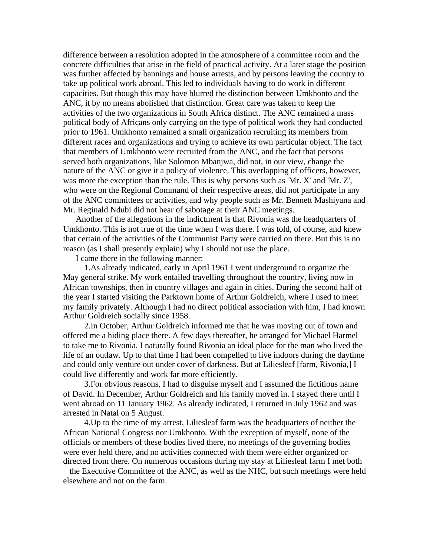difference between a resolution adopted in the atmosphere of a committee room and the concrete difficulties that arise in the field of practical activity. At a later stage the position was further affected by bannings and house arrests, and by persons leaving the country to take up political work abroad. This led to individuals having to do work in different capacities. But though this may have blurred the distinction between Umkhonto and the ANC, it by no means abolished that distinction. Great care was taken to keep the activities of the two organizations in South Africa distinct. The ANC remained a mass political body of Africans only carrying on the type of political work they had conducted prior to 1961. Umkhonto remained a small organization recruiting its members from different races and organizations and trying to achieve its own particular object. The fact that members of Umkhonto were recruited from the ANC, and the fact that persons served both organizations, like Solomon Mbanjwa, did not, in our view, change the nature of the ANC or give it a policy of violence. This overlapping of officers, however, was more the exception than the rule. This is why persons such as 'Mr. X' and 'Mr. Z', who were on the Regional Command of their respective areas, did not participate in any of the ANC committees or activities, and why people such as Mr. Bennett Mashiyana and Mr. Reginald Ndubi did not hear of sabotage at their ANC meetings.

 Another of the allegations in the indictment is that Rivonia was the headquarters of Umkhonto. This is not true of the time when I was there. I was told, of course, and knew that certain of the activities of the Communist Party were carried on there. But this is no reason (as I shall presently explain) why I should not use the place.

I came there in the following manner:

 1.As already indicated, early in April 1961 I went underground to organize the May general strike. My work entailed travelling throughout the country, living now in African townships, then in country villages and again in cities. During the second half of the year I started visiting the Parktown home of Arthur Goldreich, where I used to meet my family privately. Although I had no direct political association with him, I had known Arthur Goldreich socially since 1958.

 2.In October, Arthur Goldreich informed me that he was moving out of town and offered me a hiding place there. A few days thereafter, he arranged for Michael Harmel to take me to Rivonia. I naturally found Rivonia an ideal place for the man who lived the life of an outlaw. Up to that time I had been compelled to live indoors during the daytime and could only venture out under cover of darkness. But at Liliesleaf [farm, Rivonia,] I could live differently and work far more efficiently.

 3.For obvious reasons, I had to disguise myself and I assumed the fictitious name of David. In December, Arthur Goldreich and his family moved in. I stayed there until I went abroad on 11 January 1962. As already indicated, I returned in July 1962 and was arrested in Natal on 5 August.

 4.Up to the time of my arrest, Liliesleaf farm was the headquarters of neither the African National Congress nor Umkhonto. With the exception of myself, none of the officials or members of these bodies lived there, no meetings of the governing bodies were ever held there, and no activities connected with them were either organized or directed from there. On numerous occasions during my stay at Liliesleaf farm I met both

the Executive Committee of the ANC, as well as the NHC, but such meetings were held elsewhere and not on the farm.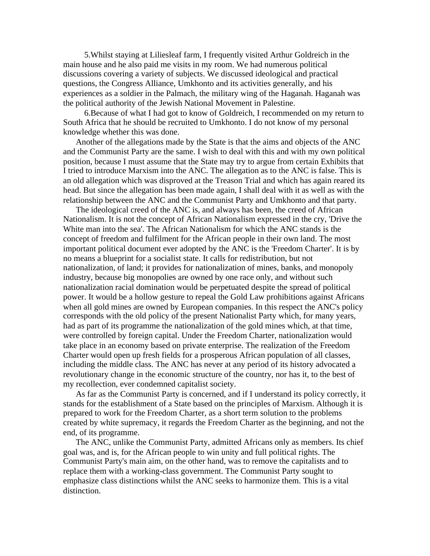5.Whilst staying at Liliesleaf farm, I frequently visited Arthur Goldreich in the main house and he also paid me visits in my room. We had numerous political discussions covering a variety of subjects. We discussed ideological and practical questions, the Congress Alliance, Umkhonto and its activities generally, and his experiences as a soldier in the Palmach, the military wing of the Haganah. Haganah was the political authority of the Jewish National Movement in Palestine.

 6.Because of what I had got to know of Goldreich, I recommended on my return to South Africa that he should be recruited to Umkhonto. I do not know of my personal knowledge whether this was done.

 Another of the allegations made by the State is that the aims and objects of the ANC and the Communist Party are the same. I wish to deal with this and with my own political position, because I must assume that the State may try to argue from certain Exhibits that I tried to introduce Marxism into the ANC. The allegation as to the ANC is false. This is an old allegation which was disproved at the Treason Trial and which has again reared its head. But since the allegation has been made again, I shall deal with it as well as with the relationship between the ANC and the Communist Party and Umkhonto and that party.

 The ideological creed of the ANC is, and always has been, the creed of African Nationalism. It is not the concept of African Nationalism expressed in the cry, 'Drive the White man into the sea'. The African Nationalism for which the ANC stands is the concept of freedom and fulfilment for the African people in their own land. The most important political document ever adopted by the ANC is the 'Freedom Charter'. It is by no means a blueprint for a socialist state. It calls for redistribution, but not nationalization, of land; it provides for nationalization of mines, banks, and monopoly industry, because big monopolies are owned by one race only, and without such nationalization racial domination would be perpetuated despite the spread of political power. It would be a hollow gesture to repeal the Gold Law prohibitions against Africans when all gold mines are owned by European companies. In this respect the ANC's policy corresponds with the old policy of the present Nationalist Party which, for many years, had as part of its programme the nationalization of the gold mines which, at that time, were controlled by foreign capital. Under the Freedom Charter, nationalization would take place in an economy based on private enterprise. The realization of the Freedom Charter would open up fresh fields for a prosperous African population of all classes, including the middle class. The ANC has never at any period of its history advocated a revolutionary change in the economic structure of the country, nor has it, to the best of my recollection, ever condemned capitalist society.

 As far as the Communist Party is concerned, and if I understand its policy correctly, it stands for the establishment of a State based on the principles of Marxism. Although it is prepared to work for the Freedom Charter, as a short term solution to the problems created by white supremacy, it regards the Freedom Charter as the beginning, and not the end, of its programme.

 The ANC, unlike the Communist Party, admitted Africans only as members. Its chief goal was, and is, for the African people to win unity and full political rights. The Communist Party's main aim, on the other hand, was to remove the capitalists and to replace them with a working-class government. The Communist Party sought to emphasize class distinctions whilst the ANC seeks to harmonize them. This is a vital distinction.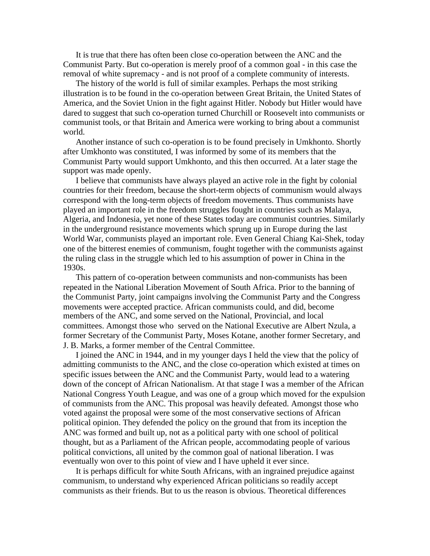It is true that there has often been close co-operation between the ANC and the Communist Party. But co-operation is merely proof of a common goal - in this case the removal of white supremacy - and is not proof of a complete community of interests.

 The history of the world is full of similar examples. Perhaps the most striking illustration is to be found in the co-operation between Great Britain, the United States of America, and the Soviet Union in the fight against Hitler. Nobody but Hitler would have dared to suggest that such co-operation turned Churchill or Roosevelt into communists or communist tools, or that Britain and America were working to bring about a communist world.

 Another instance of such co-operation is to be found precisely in Umkhonto. Shortly after Umkhonto was constituted, I was informed by some of its members that the Communist Party would support Umkhonto, and this then occurred. At a later stage the support was made openly.

 I believe that communists have always played an active role in the fight by colonial countries for their freedom, because the short-term objects of communism would always correspond with the long-term objects of freedom movements. Thus communists have played an important role in the freedom struggles fought in countries such as Malaya, Algeria, and Indonesia, yet none of these States today are communist countries. Similarly in the underground resistance movements which sprung up in Europe during the last World War, communists played an important role. Even General Chiang Kai-Shek, today one of the bitterest enemies of communism, fought together with the communists against the ruling class in the struggle which led to his assumption of power in China in the 1930s.

 This pattern of co-operation between communists and non-communists has been repeated in the National Liberation Movement of South Africa. Prior to the banning of the Communist Party, joint campaigns involving the Communist Party and the Congress movements were accepted practice. African communists could, and did, become members of the ANC, and some served on the National, Provincial, and local committees. Amongst those who served on the National Executive are Albert Nzula, a former Secretary of the Communist Party, Moses Kotane, another former Secretary, and J. B. Marks, a former member of the Central Committee.

 I joined the ANC in 1944, and in my younger days I held the view that the policy of admitting communists to the ANC, and the close co-operation which existed at times on specific issues between the ANC and the Communist Party, would lead to a watering down of the concept of African Nationalism. At that stage I was a member of the African National Congress Youth League, and was one of a group which moved for the expulsion of communists from the ANC. This proposal was heavily defeated. Amongst those who voted against the proposal were some of the most conservative sections of African political opinion. They defended the policy on the ground that from its inception the ANC was formed and built up, not as a political party with one school of political thought, but as a Parliament of the African people, accommodating people of various political convictions, all united by the common goal of national liberation. I was eventually won over to this point of view and I have upheld it ever since.

 It is perhaps difficult for white South Africans, with an ingrained prejudice against communism, to understand why experienced African politicians so readily accept communists as their friends. But to us the reason is obvious. Theoretical differences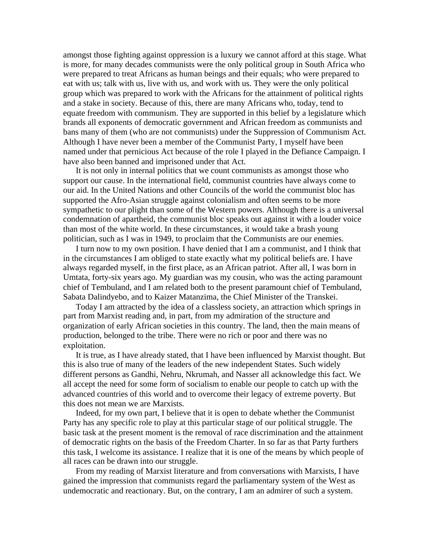amongst those fighting against oppression is a luxury we cannot afford at this stage. What is more, for many decades communists were the only political group in South Africa who were prepared to treat Africans as human beings and their equals; who were prepared to eat with us; talk with us, live with us, and work with us. They were the only political group which was prepared to work with the Africans for the attainment of political rights and a stake in society. Because of this, there are many Africans who, today, tend to equate freedom with communism. They are supported in this belief by a legislature which brands all exponents of democratic government and African freedom as communists and bans many of them (who are not communists) under the Suppression of Communism Act. Although I have never been a member of the Communist Party, I myself have been named under that pernicious Act because of the role I played in the Defiance Campaign. I have also been banned and imprisoned under that Act.

 It is not only in internal politics that we count communists as amongst those who support our cause. In the international field, communist countries have always come to our aid. In the United Nations and other Councils of the world the communist bloc has supported the Afro-Asian struggle against colonialism and often seems to be more sympathetic to our plight than some of the Western powers. Although there is a universal condemnation of apartheid, the communist bloc speaks out against it with a louder voice than most of the white world. In these circumstances, it would take a brash young politician, such as I was in 1949, to proclaim that the Communists are our enemies.

 I turn now to my own position. I have denied that I am a communist, and I think that in the circumstances I am obliged to state exactly what my political beliefs are. I have always regarded myself, in the first place, as an African patriot. After all, I was born in Umtata, forty-six years ago. My guardian was my cousin, who was the acting paramount chief of Tembuland, and I am related both to the present paramount chief of Tembuland, Sabata Dalindyebo, and to Kaizer Matanzima, the Chief Minister of the Transkei.

 Today I am attracted by the idea of a classless society, an attraction which springs in part from Marxist reading and, in part, from my admiration of the structure and organization of early African societies in this country. The land, then the main means of production, belonged to the tribe. There were no rich or poor and there was no exploitation.

 It is true, as I have already stated, that I have been influenced by Marxist thought. But this is also true of many of the leaders of the new independent States. Such widely different persons as Gandhi, Nehru, Nkrumah, and Nasser all acknowledge this fact. We all accept the need for some form of socialism to enable our people to catch up with the advanced countries of this world and to overcome their legacy of extreme poverty. But this does not mean we are Marxists.

 Indeed, for my own part, I believe that it is open to debate whether the Communist Party has any specific role to play at this particular stage of our political struggle. The basic task at the present moment is the removal of race discrimination and the attainment of democratic rights on the basis of the Freedom Charter. In so far as that Party furthers this task, I welcome its assistance. I realize that it is one of the means by which people of all races can be drawn into our struggle.

 From my reading of Marxist literature and from conversations with Marxists, I have gained the impression that communists regard the parliamentary system of the West as undemocratic and reactionary. But, on the contrary, I am an admirer of such a system.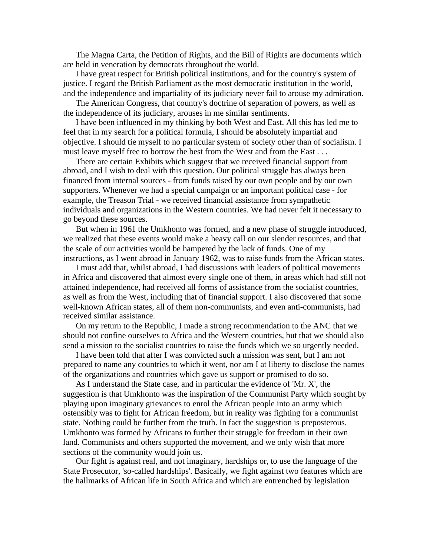The Magna Carta, the Petition of Rights, and the Bill of Rights are documents which are held in veneration by democrats throughout the world.

 I have great respect for British political institutions, and for the country's system of justice. I regard the British Parliament as the most democratic institution in the world, and the independence and impartiality of its judiciary never fail to arouse my admiration.

 The American Congress, that country's doctrine of separation of powers, as well as the independence of its judiciary, arouses in me similar sentiments.

 I have been influenced in my thinking by both West and East. All this has led me to feel that in my search for a political formula, I should be absolutely impartial and objective. I should tie myself to no particular system of society other than of socialism. I must leave myself free to borrow the best from the West and from the East . . .

 There are certain Exhibits which suggest that we received financial support from abroad, and I wish to deal with this question. Our political struggle has always been financed from internal sources - from funds raised by our own people and by our own supporters. Whenever we had a special campaign or an important political case - for example, the Treason Trial - we received financial assistance from sympathetic individuals and organizations in the Western countries. We had never felt it necessary to go beyond these sources.

 But when in 1961 the Umkhonto was formed, and a new phase of struggle introduced, we realized that these events would make a heavy call on our slender resources, and that the scale of our activities would be hampered by the lack of funds. One of my instructions, as I went abroad in January 1962, was to raise funds from the African states.

 I must add that, whilst abroad, I had discussions with leaders of political movements in Africa and discovered that almost every single one of them, in areas which had still not attained independence, had received all forms of assistance from the socialist countries, as well as from the West, including that of financial support. I also discovered that some well-known African states, all of them non-communists, and even anti-communists, had received similar assistance.

 On my return to the Republic, I made a strong recommendation to the ANC that we should not confine ourselves to Africa and the Western countries, but that we should also send a mission to the socialist countries to raise the funds which we so urgently needed.

 I have been told that after I was convicted such a mission was sent, but I am not prepared to name any countries to which it went, nor am I at liberty to disclose the names of the organizations and countries which gave us support or promised to do so.

 As I understand the State case, and in particular the evidence of 'Mr. X', the suggestion is that Umkhonto was the inspiration of the Communist Party which sought by playing upon imaginary grievances to enrol the African people into an army which ostensibly was to fight for African freedom, but in reality was fighting for a communist state. Nothing could be further from the truth. In fact the suggestion is preposterous. Umkhonto was formed by Africans to further their struggle for freedom in their own land. Communists and others supported the movement, and we only wish that more sections of the community would join us.

 Our fight is against real, and not imaginary, hardships or, to use the language of the State Prosecutor, 'so-called hardships'. Basically, we fight against two features which are the hallmarks of African life in South Africa and which are entrenched by legislation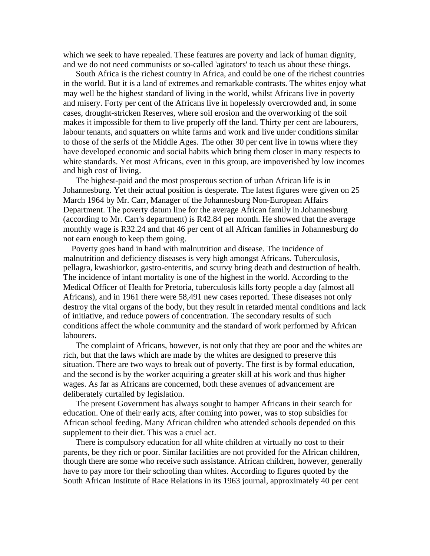which we seek to have repealed. These features are poverty and lack of human dignity, and we do not need communists or so-called 'agitators' to teach us about these things.

 South Africa is the richest country in Africa, and could be one of the richest countries in the world. But it is a land of extremes and remarkable contrasts. The whites enjoy what may well be the highest standard of living in the world, whilst Africans live in poverty and misery. Forty per cent of the Africans live in hopelessly overcrowded and, in some cases, drought-stricken Reserves, where soil erosion and the overworking of the soil makes it impossible for them to live properly off the land. Thirty per cent are labourers, labour tenants, and squatters on white farms and work and live under conditions similar to those of the serfs of the Middle Ages. The other 30 per cent live in towns where they have developed economic and social habits which bring them closer in many respects to white standards. Yet most Africans, even in this group, are impoverished by low incomes and high cost of living.

 The highest-paid and the most prosperous section of urban African life is in Johannesburg. Yet their actual position is desperate. The latest figures were given on 25 March 1964 by Mr. Carr, Manager of the Johannesburg Non-European Affairs Department. The poverty datum line for the average African family in Johannesburg (according to Mr. Carr's department) is R42.84 per month. He showed that the average monthly wage is R32.24 and that 46 per cent of all African families in Johannesburg do not earn enough to keep them going.

 Poverty goes hand in hand with malnutrition and disease. The incidence of malnutrition and deficiency diseases is very high amongst Africans. Tuberculosis, pellagra, kwashiorkor, gastro-enteritis, and scurvy bring death and destruction of health. The incidence of infant mortality is one of the highest in the world. According to the Medical Officer of Health for Pretoria, tuberculosis kills forty people a day (almost all Africans), and in 1961 there were 58,491 new cases reported. These diseases not only destroy the vital organs of the body, but they result in retarded mental conditions and lack of initiative, and reduce powers of concentration. The secondary results of such conditions affect the whole community and the standard of work performed by African labourers.

 The complaint of Africans, however, is not only that they are poor and the whites are rich, but that the laws which are made by the whites are designed to preserve this situation. There are two ways to break out of poverty. The first is by formal education, and the second is by the worker acquiring a greater skill at his work and thus higher wages. As far as Africans are concerned, both these avenues of advancement are deliberately curtailed by legislation.

 The present Government has always sought to hamper Africans in their search for education. One of their early acts, after coming into power, was to stop subsidies for African school feeding. Many African children who attended schools depended on this supplement to their diet. This was a cruel act.

 There is compulsory education for all white children at virtually no cost to their parents, be they rich or poor. Similar facilities are not provided for the African children, though there are some who receive such assistance. African children, however, generally have to pay more for their schooling than whites. According to figures quoted by the South African Institute of Race Relations in its 1963 journal, approximately 40 per cent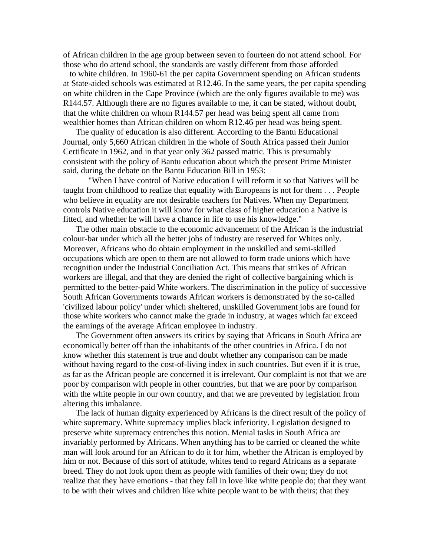of African children in the age group between seven to fourteen do not attend school. For those who do attend school, the standards are vastly different from those afforded

to white children. In 1960-61 the per capita Government spending on African students at State-aided schools was estimated at R12.46. In the same years, the per capita spending on white children in the Cape Province (which are the only figures available to me) was R144.57. Although there are no figures available to me, it can be stated, without doubt, that the white children on whom R144.57 per head was being spent all came from wealthier homes than African children on whom R12.46 per head was being spent.

 The quality of education is also different. According to the Bantu Educational Journal, only 5,660 African children in the whole of South Africa passed their Junior Certificate in 1962, and in that year only 362 passed matric. This is presumably consistent with the policy of Bantu education about which the present Prime Minister said, during the debate on the Bantu Education Bill in 1953:

 "When I have control of Native education I will reform it so that Natives will be taught from childhood to realize that equality with Europeans is not for them . . . People who believe in equality are not desirable teachers for Natives. When my Department controls Native education it will know for what class of higher education a Native is fitted, and whether he will have a chance in life to use his knowledge."

 The other main obstacle to the economic advancement of the African is the industrial colour-bar under which all the better jobs of industry are reserved for Whites only. Moreover, Africans who do obtain employment in the unskilled and semi-skilled occupations which are open to them are not allowed to form trade unions which have recognition under the Industrial Conciliation Act. This means that strikes of African workers are illegal, and that they are denied the right of collective bargaining which is permitted to the better-paid White workers. The discrimination in the policy of successive South African Governments towards African workers is demonstrated by the so-called 'civilized labour policy' under which sheltered, unskilled Government jobs are found for those white workers who cannot make the grade in industry, at wages which far exceed the earnings of the average African employee in industry.

 The Government often answers its critics by saying that Africans in South Africa are economically better off than the inhabitants of the other countries in Africa. I do not know whether this statement is true and doubt whether any comparison can be made without having regard to the cost-of-living index in such countries. But even if it is true, as far as the African people are concerned it is irrelevant. Our complaint is not that we are poor by comparison with people in other countries, but that we are poor by comparison with the white people in our own country, and that we are prevented by legislation from altering this imbalance.

 The lack of human dignity experienced by Africans is the direct result of the policy of white supremacy. White supremacy implies black inferiority. Legislation designed to preserve white supremacy entrenches this notion. Menial tasks in South Africa are invariably performed by Africans. When anything has to be carried or cleaned the white man will look around for an African to do it for him, whether the African is employed by him or not. Because of this sort of attitude, whites tend to regard Africans as a separate breed. They do not look upon them as people with families of their own; they do not realize that they have emotions - that they fall in love like white people do; that they want to be with their wives and children like white people want to be with theirs; that they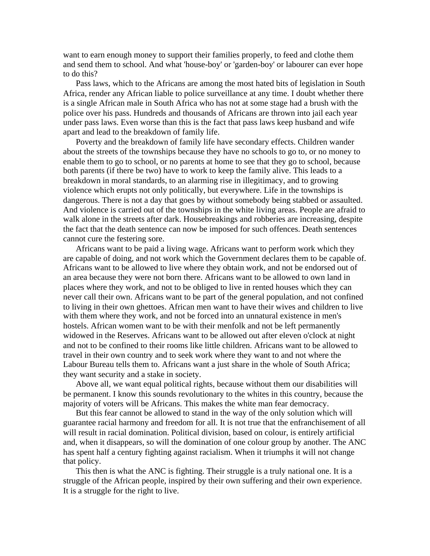want to earn enough money to support their families properly, to feed and clothe them and send them to school. And what 'house-boy' or 'garden-boy' or labourer can ever hope to do this?

 Pass laws, which to the Africans are among the most hated bits of legislation in South Africa, render any African liable to police surveillance at any time. I doubt whether there is a single African male in South Africa who has not at some stage had a brush with the police over his pass. Hundreds and thousands of Africans are thrown into jail each year under pass laws. Even worse than this is the fact that pass laws keep husband and wife apart and lead to the breakdown of family life.

 Poverty and the breakdown of family life have secondary effects. Children wander about the streets of the townships because they have no schools to go to, or no money to enable them to go to school, or no parents at home to see that they go to school, because both parents (if there be two) have to work to keep the family alive. This leads to a breakdown in moral standards, to an alarming rise in illegitimacy, and to growing violence which erupts not only politically, but everywhere. Life in the townships is dangerous. There is not a day that goes by without somebody being stabbed or assaulted. And violence is carried out of the townships in the white living areas. People are afraid to walk alone in the streets after dark. Housebreakings and robberies are increasing, despite the fact that the death sentence can now be imposed for such offences. Death sentences cannot cure the festering sore.

 Africans want to be paid a living wage. Africans want to perform work which they are capable of doing, and not work which the Government declares them to be capable of. Africans want to be allowed to live where they obtain work, and not be endorsed out of an area because they were not born there. Africans want to be allowed to own land in places where they work, and not to be obliged to live in rented houses which they can never call their own. Africans want to be part of the general population, and not confined to living in their own ghettoes. African men want to have their wives and children to live with them where they work, and not be forced into an unnatural existence in men's hostels. African women want to be with their menfolk and not be left permanently widowed in the Reserves. Africans want to be allowed out after eleven o'clock at night and not to be confined to their rooms like little children. Africans want to be allowed to travel in their own country and to seek work where they want to and not where the Labour Bureau tells them to. Africans want a just share in the whole of South Africa; they want security and a stake in society.

 Above all, we want equal political rights, because without them our disabilities will be permanent. I know this sounds revolutionary to the whites in this country, because the majority of voters will be Africans. This makes the white man fear democracy.

 But this fear cannot be allowed to stand in the way of the only solution which will guarantee racial harmony and freedom for all. It is not true that the enfranchisement of all will result in racial domination. Political division, based on colour, is entirely artificial and, when it disappears, so will the domination of one colour group by another. The ANC has spent half a century fighting against racialism. When it triumphs it will not change that policy.

 This then is what the ANC is fighting. Their struggle is a truly national one. It is a struggle of the African people, inspired by their own suffering and their own experience. It is a struggle for the right to live.